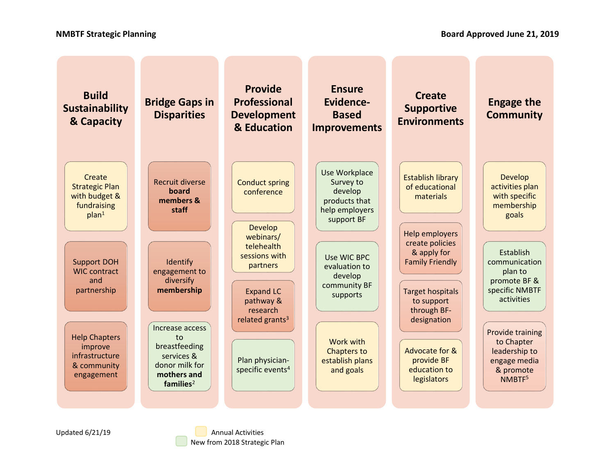| <b>Build</b><br><b>Sustainability</b><br>& Capacity                                  | <b>Bridge Gaps in</b><br><b>Disparities</b>                                                                       | <b>Provide</b><br><b>Professional</b><br><b>Development</b><br>& Education                                          | <b>Ensure</b><br>Evidence-<br><b>Based</b><br><b>Improvements</b>                      | <b>Create</b><br><b>Supportive</b><br><b>Environments</b>                                                                       | <b>Engage the</b><br><b>Community</b>                                                                     |
|--------------------------------------------------------------------------------------|-------------------------------------------------------------------------------------------------------------------|---------------------------------------------------------------------------------------------------------------------|----------------------------------------------------------------------------------------|---------------------------------------------------------------------------------------------------------------------------------|-----------------------------------------------------------------------------------------------------------|
| Create<br><b>Strategic Plan</b><br>with budget &<br>fundraising<br>plan <sup>1</sup> | <b>Recruit diverse</b><br>board<br>members &<br>staff                                                             | <b>Conduct spring</b><br>conference<br><b>Develop</b><br>webinars/                                                  | Use Workplace<br>Survey to<br>develop<br>products that<br>help employers<br>support BF | <b>Establish library</b><br>of educational<br>materials<br>Help employers                                                       | <b>Develop</b><br>activities plan<br>with specific<br>membership<br>goals                                 |
| <b>Support DOH</b><br><b>WIC contract</b><br>and<br>partnership                      | Identify<br>engagement to<br>diversify<br>membership                                                              | telehealth<br>sessions with<br>partners<br><b>Expand LC</b><br>pathway &<br>research<br>related grants <sup>3</sup> | Use WIC BPC<br>evaluation to<br>develop<br>community BF<br>supports                    | create policies<br>& apply for<br><b>Family Friendly</b><br><b>Target hospitals</b><br>to support<br>through BF-<br>designation | Establish<br>communication<br>plan to<br>promote BF &<br>specific NMBTF<br>activities                     |
| <b>Help Chapters</b><br>improve<br>infrastructure<br>& community<br>engagement       | Increase access<br>to<br>breastfeeding<br>services &<br>donor milk for<br>mothers and<br>$f$ amilies <sup>2</sup> | Plan physician-<br>specific events <sup>4</sup>                                                                     | Work with<br><b>Chapters to</b><br>establish plans<br>and goals                        | Advocate for &<br>provide BF<br>education to<br>legislators                                                                     | <b>Provide training</b><br>to Chapter<br>leadership to<br>engage media<br>& promote<br>NMBTF <sup>5</sup> |

Updated 6/21/19 **Annual Activities** New from 2018 Strategic Plan